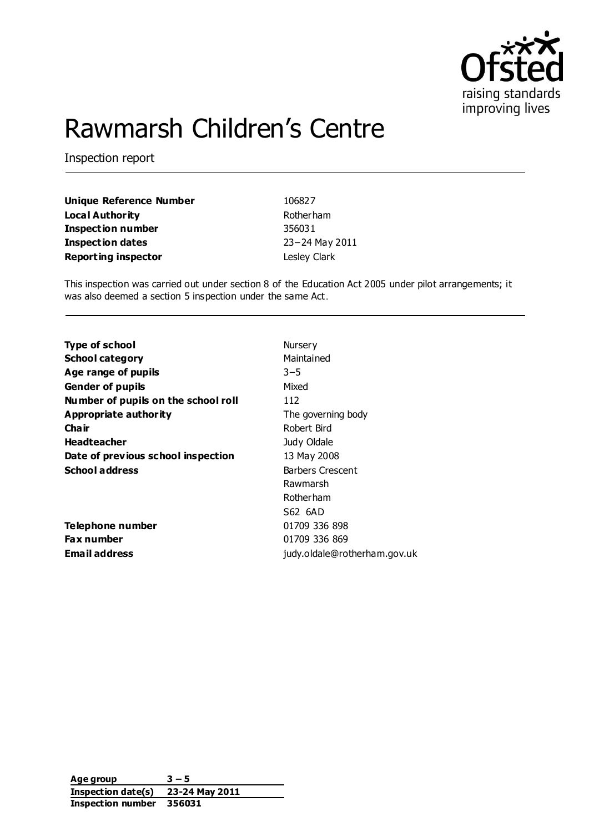

# Rawmarsh Children's Centre

Inspection report

**Unique Reference Number** 106827 **Local Authority Rotherham Inspection number** 356031 **Inspection dates** 23−24 May 2011 **Reporting inspector Contract Contract Clark** Lesley Clark

This inspection was carried out under section 8 of the Education Act 2005 under pilot arrangements; it was also deemed a section 5 inspection under the same Act.

| <b>Type of school</b>               | Nursery                      |
|-------------------------------------|------------------------------|
| <b>School category</b>              | Maintained                   |
| Age range of pupils                 | $3 - 5$                      |
| <b>Gender of pupils</b>             | Mixed                        |
| Number of pupils on the school roll | 112                          |
| Appropriate authority               | The governing body           |
| Cha ir                              | Robert Bird                  |
| <b>Headteacher</b>                  | Judy Oldale                  |
| Date of previous school inspection  | 13 May 2008                  |
| <b>School address</b>               | <b>Barbers Crescent</b>      |
|                                     | Rawmarsh                     |
|                                     | <b>Rotherham</b>             |
|                                     | S62 6AD                      |
| Telephone number                    | 01709 336 898                |
| <b>Fax number</b>                   | 01709 336 869                |
| <b>Email address</b>                | judy.oldale@rotherham.gov.uk |
|                                     |                              |

**Age group 3 – 5 Inspection date(s) 23-24 May 2011 Inspection number 356031**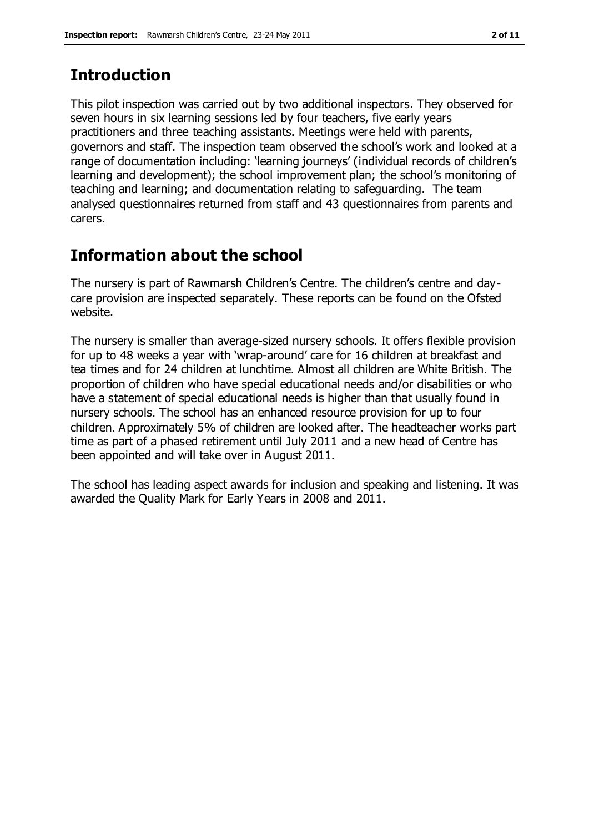## **Introduction**

This pilot inspection was carried out by two additional inspectors. They observed for seven hours in six learning sessions led by four teachers, five early years practitioners and three teaching assistants. Meetings were held with parents, governors and staff. The inspection team observed the school's work and looked at a range of documentation including: 'learning journeys' (individual records of children's learning and development); the school improvement plan; the school's monitoring of teaching and learning; and documentation relating to safeguarding. The team analysed questionnaires returned from staff and 43 questionnaires from parents and carers.

# **Information about the school**

The nursery is part of Rawmarsh Children's Centre. The children's centre and daycare provision are inspected separately. These reports can be found on the Ofsted website.

The nursery is smaller than average-sized nursery schools. It offers flexible provision for up to 48 weeks a year with 'wrap-around' care for 16 children at breakfast and tea times and for 24 children at lunchtime. Almost all children are White British. The proportion of children who have special educational needs and/or disabilities or who have a statement of special educational needs is higher than that usually found in nursery schools. The school has an enhanced resource provision for up to four children. Approximately 5% of children are looked after. The headteacher works part time as part of a phased retirement until July 2011 and a new head of Centre has been appointed and will take over in August 2011.

The school has leading aspect awards for inclusion and speaking and listening. It was awarded the Quality Mark for Early Years in 2008 and 2011.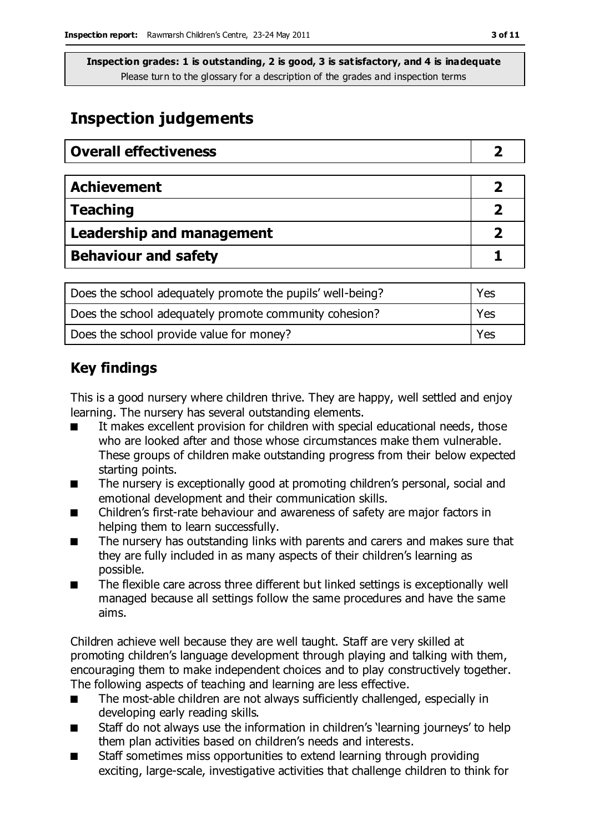# **Inspection judgements**

| <b>Overall effectiveness</b>     |  |
|----------------------------------|--|
|                                  |  |
| <b>Achievement</b>               |  |
| <b>Teaching</b>                  |  |
| <b>Leadership and management</b> |  |
| <b>Behaviour and safety</b>      |  |

| Does the school adequately promote the pupils' well-being? | Yes |
|------------------------------------------------------------|-----|
| Does the school adequately promote community cohesion?     | Yes |
| Does the school provide value for money?                   | Yes |

### **Key findings**

This is a good nursery where children thrive. They are happy, well settled and enjoy learning. The nursery has several outstanding elements.

- It makes excellent provision for children with special educational needs, those who are looked after and those whose circumstances make them vulnerable. These groups of children make outstanding progress from their below expected starting points.
- The nursery is exceptionally good at promoting children's personal, social and emotional development and their communication skills.
- Children's first-rate behaviour and awareness of safety are major factors in helping them to learn successfully.
- The nursery has outstanding links with parents and carers and makes sure that they are fully included in as many aspects of their children's learning as possible.
- The flexible care across three different but linked settings is exceptionally well managed because all settings follow the same procedures and have the same aims.

Children achieve well because they are well taught. Staff are very skilled at promoting children's language development through playing and talking with them, encouraging them to make independent choices and to play constructively together. The following aspects of teaching and learning are less effective.

- The most-able children are not always sufficiently challenged, especially in developing early reading skills.
- Staff do not always use the information in children's learning journeys' to help them plan activities based on children's needs and interests.
- Staff sometimes miss opportunities to extend learning through providing exciting, large-scale, investigative activities that challenge children to think for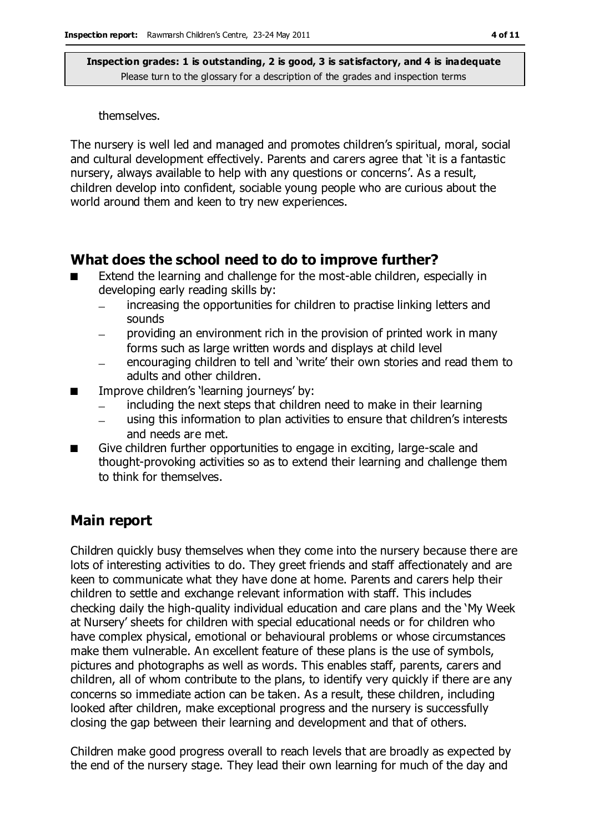#### themselves.

The nursery is well led and managed and promotes children's spiritual, moral, social and cultural development effectively. Parents and carers agree that 'it is a fantastic nursery, always available to help with any questions or concerns'. As a result, children develop into confident, sociable young people who are curious about the world around them and keen to try new experiences.

### **What does the school need to do to improve further?**

- Extend the learning and challenge for the most-able children, especially in developing early reading skills by:
	- increasing the opportunities for children to practise linking letters and sounds
	- providing an environment rich in the provision of printed work in many forms such as large written words and displays at child level
	- encouraging children to tell and 'write' their own stories and read them to  $\equiv$ adults and other children.
- Improve children's learning journeys' by:
	- including the next steps that children need to make in their learning
	- using this information to plan activities to ensure that children's interests and needs are met.
- Give children further opportunities to engage in exciting, large-scale and thought-provoking activities so as to extend their learning and challenge them to think for themselves.

### **Main report**

Children quickly busy themselves when they come into the nursery because there are lots of interesting activities to do. They greet friends and staff affectionately and are keen to communicate what they have done at home. Parents and carers help their children to settle and exchange relevant information with staff. This includes checking daily the high-quality individual education and care plans and the 'My Week at Nursery' sheets for children with special educational needs or for children who have complex physical, emotional or behavioural problems or whose circumstances make them vulnerable. An excellent feature of these plans is the use of symbols, pictures and photographs as well as words. This enables staff, parents, carers and children, all of whom contribute to the plans, to identify very quickly if there are any concerns so immediate action can be taken. As a result, these children, including looked after children, make exceptional progress and the nursery is successfully closing the gap between their learning and development and that of others.

Children make good progress overall to reach levels that are broadly as expected by the end of the nursery stage. They lead their own learning for much of the day and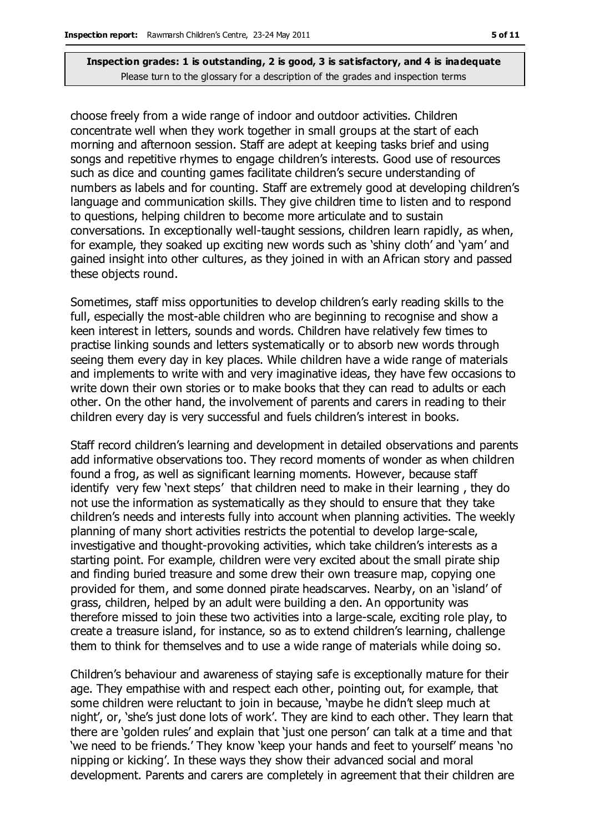choose freely from a wide range of indoor and outdoor activities. Children concentrate well when they work together in small groups at the start of each morning and afternoon session. Staff are adept at keeping tasks brief and using songs and repetitive rhymes to engage children's interests. Good use of resources such as dice and counting games facilitate children's secure understanding of numbers as labels and for counting. Staff are extremely good at developing children's language and communication skills. They give children time to listen and to respond to questions, helping children to become more articulate and to sustain conversations. In exceptionally well-taught sessions, children learn rapidly, as when, for example, they soaked up exciting new words such as 'shiny cloth' and 'yam' and gained insight into other cultures, as they joined in with an African story and passed these objects round.

Sometimes, staff miss opportunities to develop children's early reading skills to the full, especially the most-able children who are beginning to recognise and show a keen interest in letters, sounds and words. Children have relatively few times to practise linking sounds and letters systematically or to absorb new words through seeing them every day in key places. While children have a wide range of materials and implements to write with and very imaginative ideas, they have few occasions to write down their own stories or to make books that they can read to adults or each other. On the other hand, the involvement of parents and carers in reading to their children every day is very successful and fuels children's interest in books.

Staff record children's learning and development in detailed observations and parents add informative observations too. They record moments of wonder as when children found a frog, as well as significant learning moments. However, because staff identify very few 'next steps' that children need to make in their learning , they do not use the information as systematically as they should to ensure that they take children's needs and interests fully into account when planning activities. The weekly planning of many short activities restricts the potential to develop large-scale, investigative and thought-provoking activities, which take children's interests as a starting point. For example, children were very excited about the small pirate ship and finding buried treasure and some drew their own treasure map, copying one provided for them, and some donned pirate headscarves. Nearby, on an 'island' of grass, children, helped by an adult were building a den. An opportunity was therefore missed to join these two activities into a large-scale, exciting role play, to create a treasure island, for instance, so as to extend children's learning, challenge them to think for themselves and to use a wide range of materials while doing so.

Children's behaviour and awareness of staying safe is exceptionally mature for their age. They empathise with and respect each other, pointing out, for example, that some children were reluctant to join in because, 'maybe he didn't sleep much at night', or, 'she's just done lots of work'. They are kind to each other. They learn that there are 'golden rules' and explain that 'just one person' can talk at a time and that 'we need to be friends.' They know 'keep your hands and feet to yourself' means 'no nipping or kicking'. In these ways they show their advanced social and moral development. Parents and carers are completely in agreement that their children are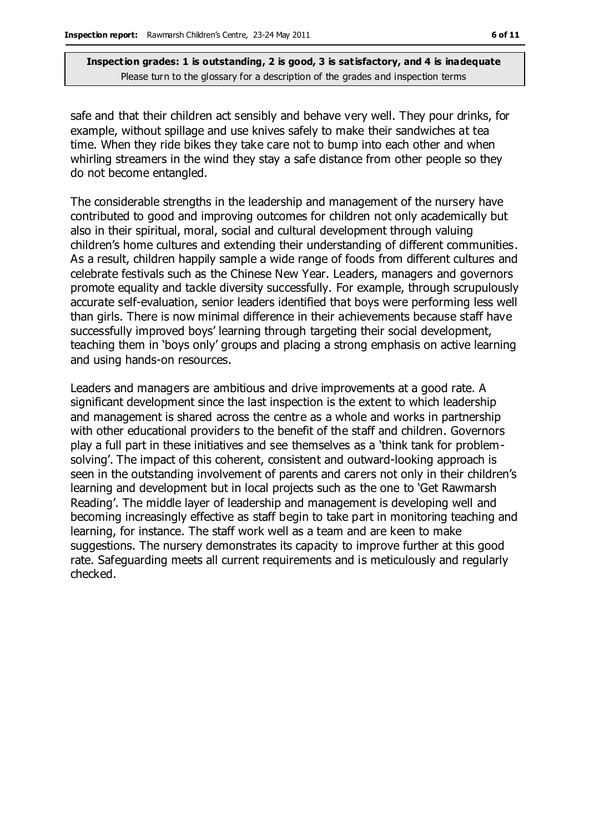safe and that their children act sensibly and behave very well. They pour drinks, for example, without spillage and use knives safely to make their sandwiches at tea time. When they ride bikes they take care not to bump into each other and when whirling streamers in the wind they stay a safe distance from other people so they do not become entangled.

The considerable strengths in the leadership and management of the nursery have contributed to good and improving outcomes for children not only academically but also in their spiritual, moral, social and cultural development through valuing children's home cultures and extending their understanding of different communities. As a result, children happily sample a wide range of foods from different cultures and celebrate festivals such as the Chinese New Year. Leaders, managers and governors promote equality and tackle diversity successfully. For example, through scrupulously accurate self-evaluation, senior leaders identified that boys were performing less well than girls. There is now minimal difference in their achievements because staff have successfully improved boys' learning through targeting their social development, teaching them in 'boys only' groups and placing a strong emphasis on active learning and using hands-on resources.

Leaders and managers are ambitious and drive improvements at a good rate. A significant development since the last inspection is the extent to which leadership and management is shared across the centre as a whole and works in partnership with other educational providers to the benefit of the staff and children. Governors play a full part in these initiatives and see themselves as a 'think tank for problemsolving'. The impact of this coherent, consistent and outward-looking approach is seen in the outstanding involvement of parents and carers not only in their children's learning and development but in local projects such as the one to 'Get Rawmarsh Reading'. The middle layer of leadership and management is developing well and becoming increasingly effective as staff begin to take part in monitoring teaching and learning, for instance. The staff work well as a team and are keen to make suggestions. The nursery demonstrates its capacity to improve further at this good rate. Safeguarding meets all current requirements and is meticulously and regularly checked.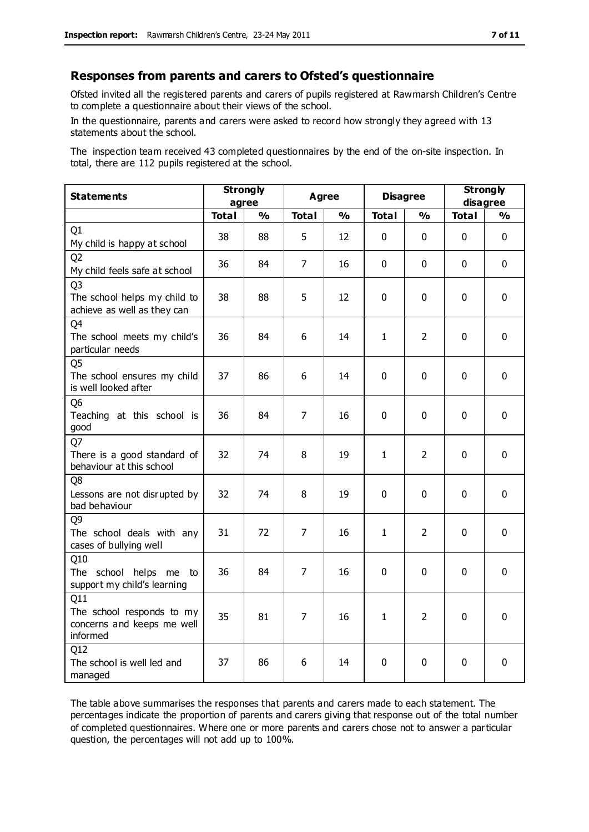#### **Responses from parents and carers to Ofsted's questionnaire**

Ofsted invited all the registered parents and carers of pupils registered at Rawmarsh Children's Centre to complete a questionnaire about their views of the school.

In the questionnaire, parents and carers were asked to record how strongly they agreed with 13 statements about the school.

The inspection team received 43 completed questionnaires by the end of the on-site inspection. In total, there are 112 pupils registered at the school.

| <b>Statements</b>                                                             | <b>Strongly</b><br>agree |               | <b>Agree</b>   |               | <b>Disagree</b> |                | <b>Strongly</b><br>disagree |               |
|-------------------------------------------------------------------------------|--------------------------|---------------|----------------|---------------|-----------------|----------------|-----------------------------|---------------|
|                                                                               | <b>Total</b>             | $\frac{0}{0}$ | <b>Total</b>   | $\frac{0}{0}$ | <b>Total</b>    | $\frac{1}{2}$  | <b>Total</b>                | $\frac{0}{0}$ |
| Q1<br>My child is happy at school                                             | 38                       | 88            | 5              | 12            | 0               | $\mathbf 0$    | $\mathbf 0$                 | $\mathbf 0$   |
| Q <sub>2</sub><br>My child feels safe at school                               | 36                       | 84            | $\overline{7}$ | 16            | 0               | 0              | $\mathbf{0}$                | $\mathbf 0$   |
| Q <sub>3</sub><br>The school helps my child to<br>achieve as well as they can | 38                       | 88            | 5              | 12            | 0               | 0              | $\mathbf{0}$                | $\mathbf 0$   |
| Q4<br>The school meets my child's<br>particular needs                         | 36                       | 84            | 6              | 14            | $\mathbf{1}$    | $\overline{2}$ | $\mathbf{0}$                | $\mathbf 0$   |
| Q <sub>5</sub><br>The school ensures my child<br>is well looked after         | 37                       | 86            | 6              | 14            | 0               | $\mathbf 0$    | $\mathbf{0}$                | $\mathbf 0$   |
| Q <sub>6</sub><br>Teaching at this school is<br>good                          | 36                       | 84            | 7              | 16            | $\mathbf 0$     | $\mathbf 0$    | $\Omega$                    | $\mathbf 0$   |
| Q7<br>There is a good standard of<br>behaviour at this school                 | 32                       | 74            | 8              | 19            | $\mathbf{1}$    | $\overline{2}$ | $\Omega$                    | $\mathbf 0$   |
| Q8<br>Lessons are not disrupted by<br>bad behaviour                           | 32                       | 74            | 8              | 19            | 0               | $\mathbf 0$    | $\mathbf{0}$                | $\mathbf 0$   |
| Q9<br>The school deals with any<br>cases of bullying well                     | 31                       | 72            | $\overline{7}$ | 16            | $\mathbf{1}$    | $\overline{2}$ | 0                           | $\mathbf 0$   |
| Q10<br>The school helps me to<br>support my child's learning                  | 36                       | 84            | 7              | 16            | 0               | $\mathbf 0$    | $\mathbf{0}$                | $\mathbf{0}$  |
| Q11<br>The school responds to my<br>concerns and keeps me well<br>informed    | 35                       | 81            | 7              | 16            | $\mathbf{1}$    | $\overline{2}$ | $\mathbf 0$                 | $\mathbf 0$   |
| Q12<br>The school is well led and<br>managed                                  | 37                       | 86            | 6              | 14            | 0               | 0              | 0                           | $\mathbf 0$   |

The table above summarises the responses that parents and carers made to each statement. The percentages indicate the proportion of parents and carers giving that response out of the total number of completed questionnaires. Where one or more parents and carers chose not to answer a particular question, the percentages will not add up to 100%.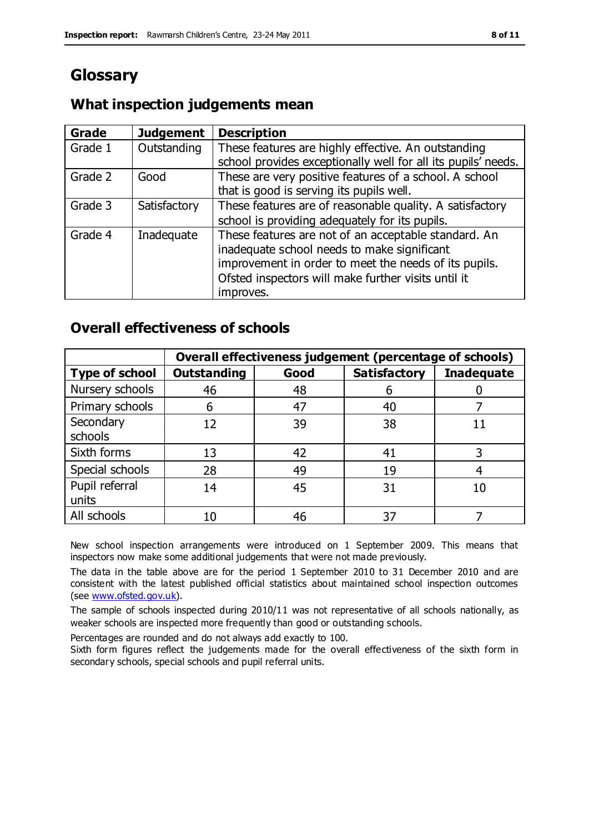# **Glossary**

### **What inspection judgements mean**

| <b>Grade</b> | <b>Judgement</b> | <b>Description</b>                                                                                                                                                                                                               |
|--------------|------------------|----------------------------------------------------------------------------------------------------------------------------------------------------------------------------------------------------------------------------------|
| Grade 1      | Outstanding      | These features are highly effective. An outstanding<br>school provides exceptionally well for all its pupils' needs.                                                                                                             |
| Grade 2      | Good             | These are very positive features of a school. A school<br>that is good is serving its pupils well.                                                                                                                               |
| Grade 3      | Satisfactory     | These features are of reasonable quality. A satisfactory<br>school is providing adequately for its pupils.                                                                                                                       |
| Grade 4      | Inadequate       | These features are not of an acceptable standard. An<br>inadequate school needs to make significant<br>improvement in order to meet the needs of its pupils.<br>Ofsted inspectors will make further visits until it<br>improves. |

### **Overall effectiveness of schools**

|                         | Overall effectiveness judgement (percentage of schools) |      |                     |                   |
|-------------------------|---------------------------------------------------------|------|---------------------|-------------------|
| <b>Type of school</b>   | <b>Outstanding</b>                                      | Good | <b>Satisfactory</b> | <b>Inadequate</b> |
| Nursery schools         | 46                                                      | 48   | 6                   |                   |
| Primary schools         | 6                                                       | 47   | 40                  |                   |
| Secondary<br>schools    | 12                                                      | 39   | 38                  |                   |
| Sixth forms             | 13                                                      | 42   | 41                  |                   |
| Special schools         | 28                                                      | 49   | 19                  |                   |
| Pupil referral<br>units | 14                                                      | 45   | 31                  | 10                |
| All schools             | 10                                                      | 46   | 37                  |                   |

New school inspection arrangements were introduced on 1 September 2009. This means that inspectors now make some additional judgements that were not made previously.

The data in the table above are for the period 1 September 2010 to 31 December 2010 and are consistent with the latest published official statistics about maintained school inspection outcomes (see [www.ofsted.gov.uk\)](http://www.ofsted.gov.uk/).

The sample of schools inspected during 2010/11 was not representative of all schools nationally, as weaker schools are inspected more frequently than good or outstanding schools.

Percentages are rounded and do not always add exactly to 100.

Sixth form figures reflect the judgements made for the overall effectiveness of the sixth form in secondary schools, special schools and pupil referral units.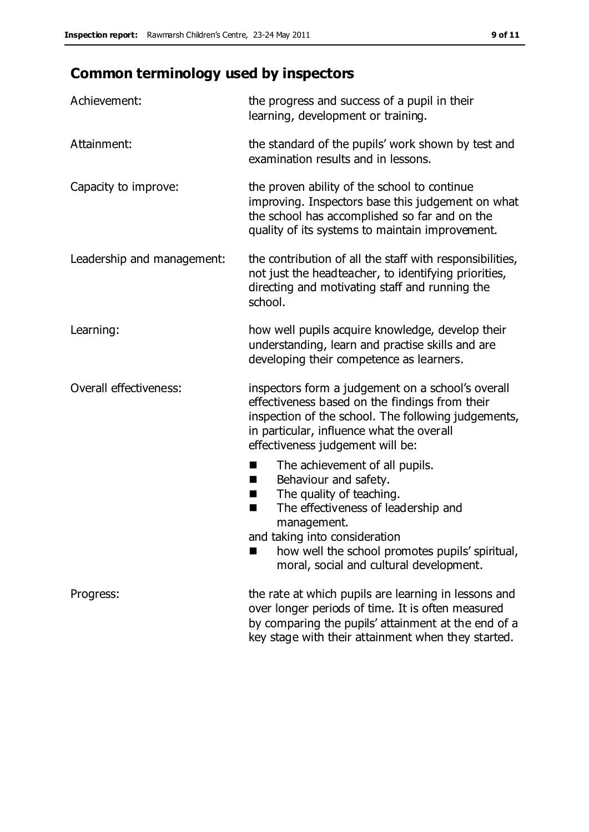# **Common terminology used by inspectors**

| Achievement:               | the progress and success of a pupil in their<br>learning, development or training.                                                                                                                                                                 |
|----------------------------|----------------------------------------------------------------------------------------------------------------------------------------------------------------------------------------------------------------------------------------------------|
| Attainment:                | the standard of the pupils' work shown by test and<br>examination results and in lessons.                                                                                                                                                          |
| Capacity to improve:       | the proven ability of the school to continue<br>improving. Inspectors base this judgement on what<br>the school has accomplished so far and on the<br>quality of its systems to maintain improvement.                                              |
| Leadership and management: | the contribution of all the staff with responsibilities,<br>not just the headteacher, to identifying priorities,<br>directing and motivating staff and running the<br>school.                                                                      |
| Learning:                  | how well pupils acquire knowledge, develop their<br>understanding, learn and practise skills and are<br>developing their competence as learners.                                                                                                   |
| Overall effectiveness:     | inspectors form a judgement on a school's overall<br>effectiveness based on the findings from their<br>inspection of the school. The following judgements,<br>in particular, influence what the overall<br>effectiveness judgement will be:        |
|                            | The achievement of all pupils.<br>п<br>Behaviour and safety.<br>ш<br>The quality of teaching.<br>H.<br>The effectiveness of leadership and<br>п<br>management.<br>and taking into consideration<br>how well the school promotes pupils' spiritual, |
|                            | moral, social and cultural development.                                                                                                                                                                                                            |
| Progress:                  | the rate at which pupils are learning in lessons and<br>over longer periods of time. It is often measured<br>by comparing the pupils' attainment at the end of a                                                                                   |

key stage with their attainment when they started.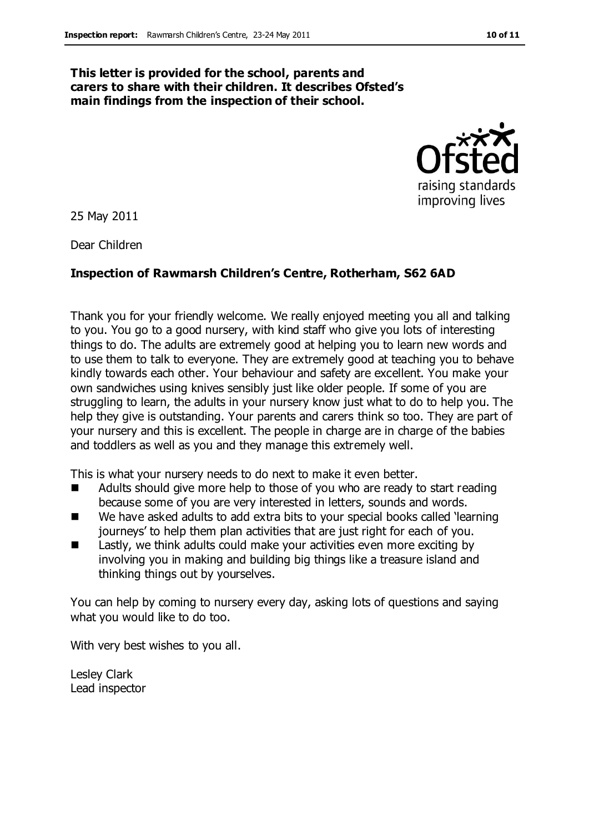#### **This letter is provided for the school, parents and carers to share with their children. It describes Ofsted's main findings from the inspection of their school.**



25 May 2011

Dear Children

#### **Inspection of Rawmarsh Children's Centre, Rotherham, S62 6AD**

Thank you for your friendly welcome. We really enjoyed meeting you all and talking to you. You go to a good nursery, with kind staff who give you lots of interesting things to do. The adults are extremely good at helping you to learn new words and to use them to talk to everyone. They are extremely good at teaching you to behave kindly towards each other. Your behaviour and safety are excellent. You make your own sandwiches using knives sensibly just like older people. If some of you are struggling to learn, the adults in your nursery know just what to do to help you. The help they give is outstanding. Your parents and carers think so too. They are part of your nursery and this is excellent. The people in charge are in charge of the babies and toddlers as well as you and they manage this extremely well.

This is what your nursery needs to do next to make it even better.

- Adults should give more help to those of you who are ready to start reading because some of you are very interested in letters, sounds and words.
- We have asked adults to add extra bits to your special books called 'learning journeys' to help them plan activities that are just right for each of you.
- Lastly, we think adults could make your activities even more exciting by involving you in making and building big things like a treasure island and thinking things out by yourselves.

You can help by coming to nursery every day, asking lots of questions and saying what you would like to do too.

With very best wishes to you all.

Lesley Clark Lead inspector